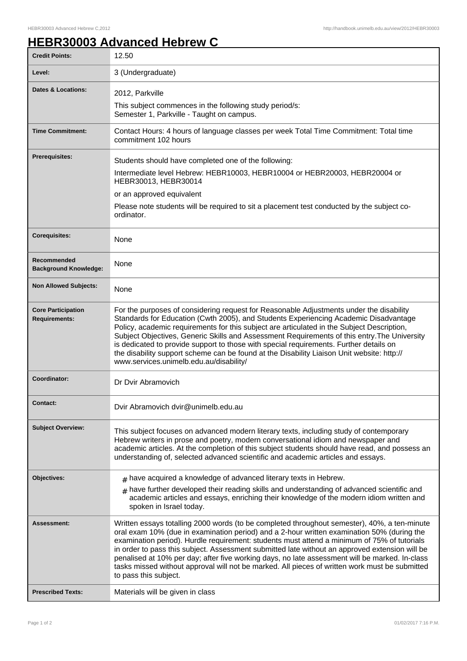## **HEBR30003 Advanced Hebrew C**

| <b>Credit Points:</b>                             | 12.50                                                                                                                                                                                                                                                                                                                                                                                                                                                                                                                                                                                                                    |
|---------------------------------------------------|--------------------------------------------------------------------------------------------------------------------------------------------------------------------------------------------------------------------------------------------------------------------------------------------------------------------------------------------------------------------------------------------------------------------------------------------------------------------------------------------------------------------------------------------------------------------------------------------------------------------------|
| Level:                                            | 3 (Undergraduate)                                                                                                                                                                                                                                                                                                                                                                                                                                                                                                                                                                                                        |
| Dates & Locations:                                | 2012, Parkville                                                                                                                                                                                                                                                                                                                                                                                                                                                                                                                                                                                                          |
|                                                   | This subject commences in the following study period/s:<br>Semester 1, Parkville - Taught on campus.                                                                                                                                                                                                                                                                                                                                                                                                                                                                                                                     |
| <b>Time Commitment:</b>                           | Contact Hours: 4 hours of language classes per week Total Time Commitment: Total time<br>commitment 102 hours                                                                                                                                                                                                                                                                                                                                                                                                                                                                                                            |
| <b>Prerequisites:</b>                             | Students should have completed one of the following:                                                                                                                                                                                                                                                                                                                                                                                                                                                                                                                                                                     |
|                                                   | Intermediate level Hebrew: HEBR10003, HEBR10004 or HEBR20003, HEBR20004 or<br>HEBR30013, HEBR30014                                                                                                                                                                                                                                                                                                                                                                                                                                                                                                                       |
|                                                   | or an approved equivalent                                                                                                                                                                                                                                                                                                                                                                                                                                                                                                                                                                                                |
|                                                   | Please note students will be required to sit a placement test conducted by the subject co-<br>ordinator.                                                                                                                                                                                                                                                                                                                                                                                                                                                                                                                 |
| <b>Corequisites:</b>                              | None                                                                                                                                                                                                                                                                                                                                                                                                                                                                                                                                                                                                                     |
| Recommended<br><b>Background Knowledge:</b>       | None                                                                                                                                                                                                                                                                                                                                                                                                                                                                                                                                                                                                                     |
| <b>Non Allowed Subjects:</b>                      | None                                                                                                                                                                                                                                                                                                                                                                                                                                                                                                                                                                                                                     |
| <b>Core Participation</b><br><b>Requirements:</b> | For the purposes of considering request for Reasonable Adjustments under the disability<br>Standards for Education (Cwth 2005), and Students Experiencing Academic Disadvantage<br>Policy, academic requirements for this subject are articulated in the Subject Description,<br>Subject Objectives, Generic Skills and Assessment Requirements of this entry. The University<br>is dedicated to provide support to those with special requirements. Further details on<br>the disability support scheme can be found at the Disability Liaison Unit website: http://<br>www.services.unimelb.edu.au/disability/         |
| Coordinator:                                      | Dr Dvir Abramovich                                                                                                                                                                                                                                                                                                                                                                                                                                                                                                                                                                                                       |
| Contact:                                          | Dvir Abramovich dvir@unimelb.edu.au                                                                                                                                                                                                                                                                                                                                                                                                                                                                                                                                                                                      |
| <b>Subject Overview:</b>                          | This subject focuses on advanced modern literary texts, including study of contemporary<br>Hebrew writers in prose and poetry, modern conversational idiom and newspaper and<br>academic articles. At the completion of this subject students should have read, and possess an<br>understanding of, selected advanced scientific and academic articles and essays.                                                                                                                                                                                                                                                       |
| Objectives:                                       | $*$ have acquired a knowledge of advanced literary texts in Hebrew.                                                                                                                                                                                                                                                                                                                                                                                                                                                                                                                                                      |
|                                                   | $_{\text{\#}}$ have further developed their reading skills and understanding of advanced scientific and<br>academic articles and essays, enriching their knowledge of the modern idiom written and<br>spoken in Israel today.                                                                                                                                                                                                                                                                                                                                                                                            |
| <b>Assessment:</b>                                | Written essays totalling 2000 words (to be completed throughout semester), 40%, a ten-minute<br>oral exam 10% (due in examination period) and a 2-hour written examination 50% (during the<br>examination period). Hurdle requirement: students must attend a minimum of 75% of tutorials<br>in order to pass this subject. Assessment submitted late without an approved extension will be<br>penalised at 10% per day; after five working days, no late assessment will be marked. In-class<br>tasks missed without approval will not be marked. All pieces of written work must be submitted<br>to pass this subject. |
| <b>Prescribed Texts:</b>                          | Materials will be given in class                                                                                                                                                                                                                                                                                                                                                                                                                                                                                                                                                                                         |